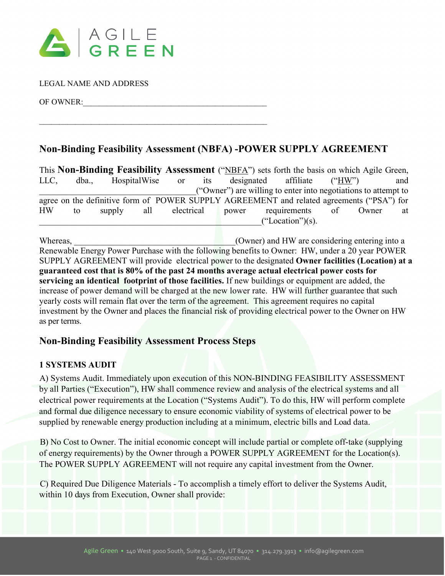

LEGAL NAME AND ADDRESS

OF OWNER:

# **Non-Binding Feasibility Assessment (NBFA) -POWER SUPPLY AGREEMENT**

This **Non-Binding Feasibility Assessment** ("NBFA") sets forth the basis on which Agile Green, LLC, dba., HospitalWise or its designated affiliate ("HW") and \_\_\_\_\_\_\_\_\_\_\_\_\_\_\_\_\_\_\_\_\_\_\_\_\_\_\_\_\_\_\_\_\_\_\_\_("Owner") are willing to enter into negotiations to attempt to agree on the definitive form of POWER SUPPLY AGREEMENT and related agreements ("PSA") for HW to supply all electrical power requirements of Owner at  $("Location")$ (s).

Whereas, whereas, the considering entering into a set of  $(0$ wner) and HW are considering entering into a Renewable Energy Power Purchase with the following benefits to Owner: HW, under a 20 year POWER SUPPLY AGREEMENT will provide electrical power to the designated **Owner facilities (Location) at a guaranteed cost that is 80% of the past 24 months average actual electrical power costs for servicing an identical footprint of those facilities.** If new buildings or equipment are added, the increase of power demand will be charged at the new lower rate. HW will further guarantee that such yearly costs will remain flat over the term of the agreement. This agreement requires no capital investment by the Owner and places the financial risk of providing electrical power to the Owner on HW as per terms.

# **Non-Binding Feasibility Assessment Process Steps**

 $\mathcal{L}_\text{max}$  , and the contract of the contract of the contract of the contract of the contract of the contract of the contract of the contract of the contract of the contract of the contract of the contract of the contr

### **1 SYSTEMS AUDIT**

A) Systems Audit. Immediately upon execution of this NON-BINDING FEASIBILITY ASSESSMENT by all Parties ("Execution"), HW shall commence review and analysis of the electrical systems and all electrical power requirements at the Location ("Systems Audit"). To do this, HW will perform complete and formal due diligence necessary to ensure economic viability of systems of electrical power to be supplied by renewable energy production including at a minimum, electric bills and Load data.

B) No Cost to Owner. The initial economic concept will include partial or complete off-take (supplying of energy requirements) by the Owner through a POWER SUPPLY AGREEMENT for the Location(s). The POWER SUPPLY AGREEMENT will not require any capital investment from the Owner.

C) Required Due Diligence Materials - To accomplish a timely effort to deliver the Systems Audit, within 10 days from Execution, Owner shall provide: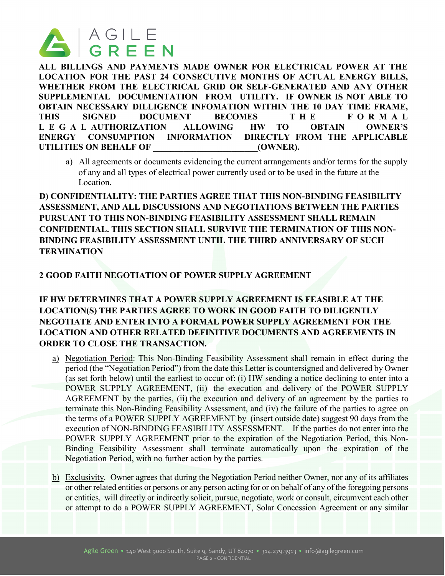

**ALL BILLINGS AND PAYMENTS MADE OWNER FOR ELECTRICAL POWER AT THE LOCATION FOR THE PAST 24 CONSECUTIVE MONTHS OF ACTUAL ENERGY BILLS, WHETHER FROM THE ELECTRICAL GRID OR SELF-GENERATED AND ANY OTHER SUPPLEMENTAL DOCUMENTATION FROM UTILITY. IF OWNER IS NOT ABLE TO OBTAIN NECESSARY DILLIGENCE INFOMATION WITHIN THE 10 DAY TIME FRAME, THIS SIGNED DOCUMENT BECOMES THE FORMAL L E GAL AUTHORIZATION ALLOWING HW TO OBTAIN OWNER'S ENERGY CONSUMPTION INFORMATION DIRECTLY FROM THE APPLICABLE**  UTILITIES ON BEHALF OF **THE CONDUCT ON SECTION** (OWNER).

a) All agreements or documents evidencing the current arrangements and/or terms for the supply of any and all types of electrical power currently used or to be used in the future at the Location.

**D) CONFIDENTIALITY: THE PARTIES AGREE THAT THIS NON-BINDING FEASIBILITY ASSESSMENT, AND ALL DISCUSSIONS AND NEGOTIATIONS BETWEEN THE PARTIES PURSUANT TO THIS NON-BINDING FEASIBILITY ASSESSMENT SHALL REMAIN CONFIDENTIAL. THIS SECTION SHALL SURVIVE THE TERMINATION OF THIS NON-BINDING FEASIBILITY ASSESSMENT UNTIL THE THIRD ANNIVERSARY OF SUCH TERMINATION**

### **2 GOOD FAITH NEGOTIATION OF POWER SUPPLY AGREEMENT**

## **IF HW DETERMINES THAT A POWER SUPPLY AGREEMENT IS FEASIBLE AT THE LOCATION(S) THE PARTIES AGREE TO WORK IN GOOD FAITH TO DILIGENTLY NEGOTIATE AND ENTER INTO A FORMAL POWER SUPPLY AGREEMENT FOR THE LOCATION AND OTHER RELATED DEFINITIVE DOCUMENTS AND AGREEMENTS IN ORDER TO CLOSE THE TRANSACTION.**

- a) Negotiation Period: This Non-Binding Feasibility Assessment shall remain in effect during the period (the "Negotiation Period") from the date this Letter is countersigned and delivered by Owner (as set forth below) until the earliest to occur of: (i) HW sending a notice declining to enter into a POWER SUPPLY AGREEMENT, (ii) the execution and delivery of the POWER SUPPLY AGREEMENT by the parties, (ii) the execution and delivery of an agreement by the parties to terminate this Non-Binding Feasibility Assessment, and (iv) the failure of the parties to agree on the terms of a POWER SUPPLY AGREEMENT by (insert outside date) suggest 90 days from the execution of NON-BINDING FEASIBILITY ASSESSMENT. If the parties do not enter into the POWER SUPPLY AGREEMENT prior to the expiration of the Negotiation Period, this Non-Binding Feasibility Assessment shall terminate automatically upon the expiration of the Negotiation Period, with no further action by the parties.
- b) Exclusivity. Owner agrees that during the Negotiation Period neither Owner, nor any of its affiliates or other related entities or persons or any person acting for or on behalf of any of the foregoing persons or entities, will directly or indirectly solicit, pursue, negotiate, work or consult, circumvent each other or attempt to do a POWER SUPPLY AGREEMENT, Solar Concession Agreement or any similar